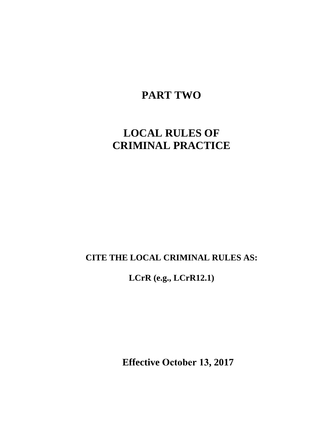# **PART TWO**

# **LOCAL RULES OF CRIMINAL PRACTICE**

# **CITE THE LOCAL CRIMINAL RULES AS:**

**LCrR (e.g., LCrR12.1)**

**Effective October 13, 2017**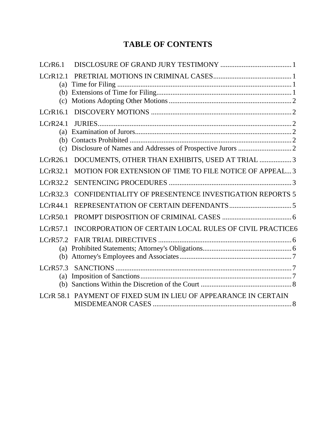# **TABLE OF CONTENTS**

| LCrR6.1                       |                                                                 |
|-------------------------------|-----------------------------------------------------------------|
| LCrR12.1<br>(a)<br>(c)        |                                                                 |
| LCrR16.1                      |                                                                 |
| LCrR24.1<br>(a)<br>(b)<br>(c) |                                                                 |
| LCrR26.1                      | DOCUMENTS, OTHER THAN EXHIBITS, USED AT TRIAL 3                 |
| LCrR32.1                      | MOTION FOR EXTENSION OF TIME TO FILE NOTICE OF APPEAL 3         |
| LCrR32.2                      |                                                                 |
| LCrR32.3                      | CONFIDENTIALITY OF PRESENTENCE INVESTIGATION REPORTS 5          |
| LCrR44.1                      |                                                                 |
| LCrR50.1                      |                                                                 |
| LCrR57.1                      | INCORPORATION OF CERTAIN LOCAL RULES OF CIVIL PRACTICE6         |
| LCrR57.2<br>(b)               |                                                                 |
| (a)<br>(b)                    |                                                                 |
|                               | LCrR 58.1 PAYMENT OF FIXED SUM IN LIEU OF APPEARANCE IN CERTAIN |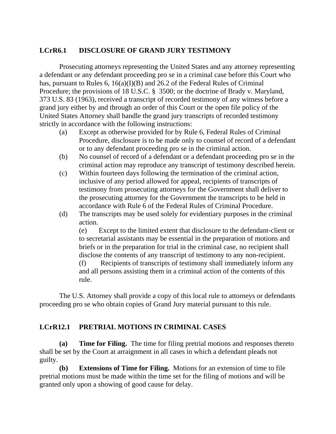#### <span id="page-2-0"></span>**LCrR6.1 DISCLOSURE OF GRAND JURY TESTIMONY**

Prosecuting attorneys representing the United States and any attorney representing a defendant or any defendant proceeding pro se in a criminal case before this Court who has, pursuant to Rules 6, 16(a)(I)(B) and 26.2 of the Federal Rules of Criminal Procedure; the provisions of 18 U.S.C. § 3500; or the doctrine of Brady v. Maryland, 373 U.S. 83 (1963), received a transcript of recorded testimony of any witness before a grand jury either by and through an order of this Court or the open file policy of the United States Attorney shall handle the grand jury transcripts of recorded testimony strictly in accordance with the following instructions:

- (a) Except as otherwise provided for by Rule 6, Federal Rules of Criminal Procedure, disclosure is to be made only to counsel of record of a defendant or to any defendant proceeding pro se in the criminal action.
- (b) No counsel of record of a defendant or a defendant proceeding pro se in the criminal action may reproduce any transcript of testimony described herein.
- (c) Within fourteen days following the termination of the criminal action, inclusive of any period allowed for appeal, recipients of transcripts of testimony from prosecuting attorneys for the Government shall deliver to the prosecuting attorney for the Government the transcripts to be held in accordance with Rule 6 of the Federal Rules of Criminal Procedure.
- (d) The transcripts may be used solely for evidentiary purposes in the criminal action.

(e) Except to the limited extent that disclosure to the defendant-client or to secretarial assistants may be essential in the preparation of motions and briefs or in the preparation for trial in the criminal case, no recipient shall disclose the contents of any transcript of testimony to any non-recipient.

(f) Recipients of transcripts of testimony shall immediately inform any and all persons assisting them in a criminal action of the contents of this rule.

The U.S. Attorney shall provide a copy of this local rule to attorneys or defendants proceeding pro se who obtain copies of Grand Jury material pursuant to this rule.

# <span id="page-2-1"></span>**LCrR12.1 PRETRIAL MOTIONS IN CRIMINAL CASES**

<span id="page-2-2"></span>**(a) Time for Filing.** The time for filing pretrial motions and responses thereto shall be set by the Court at arraignment in all cases in which a defendant pleads not guilty.

<span id="page-2-3"></span>**(b) Extensions of Time for Filing.** Motions for an extension of time to file pretrial motions must be made within the time set for the filing of motions and will be granted only upon a showing of good cause for delay.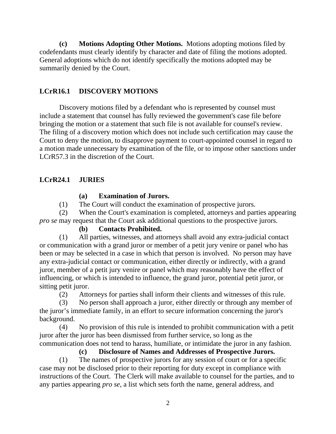<span id="page-3-0"></span>**(c) Motions Adopting Other Motions.** Motions adopting motions filed by codefendants must clearly identify by character and date of filing the motions adopted. General adoptions which do not identify specifically the motions adopted may be summarily denied by the Court.

# <span id="page-3-1"></span>**LCrR16.1 DISCOVERY MOTIONS**

Discovery motions filed by a defendant who is represented by counsel must include a statement that counsel has fully reviewed the government's case file before bringing the motion or a statement that such file is not available for counsel's review. The filing of a discovery motion which does not include such certification may cause the Court to deny the motion, to disapprove payment to court-appointed counsel in regard to a motion made unnecessary by examination of the file, or to impose other sanctions under LCrR57.3 in the discretion of the Court.

# <span id="page-3-2"></span>**LCrR24.1 JURIES**

#### <span id="page-3-3"></span>**(a) Examination of Jurors.**

(1) The Court will conduct the examination of prospective jurors.

(2) When the Court's examination is completed, attorneys and parties appearing *pro se* may request that the Court ask additional questions to the prospective jurors.

# <span id="page-3-4"></span>**(b) Contacts Prohibited.**

(1) All parties, witnesses, and attorneys shall avoid any extra-judicial contact or communication with a grand juror or member of a petit jury venire or panel who has been or may be selected in a case in which that person is involved. No person may have any extra-judicial contact or communication, either directly or indirectly, with a grand juror, member of a petit jury venire or panel which may reasonably have the effect of influencing, or which is intended to influence, the grand juror, potential petit juror, or sitting petit juror.

(2) Attorneys for parties shall inform their clients and witnesses of this rule.

(3) No person shall approach a juror, either directly or through any member of the juror's immediate family, in an effort to secure information concerning the juror's background.

(4) No provision of this rule is intended to prohibit communication with a petit juror after the juror has been dismissed from further service, so long as the communication does not tend to harass, humiliate, or intimidate the juror in any fashion.

# <span id="page-3-5"></span>**(c) Disclosure of Names and Addresses of Prospective Jurors.**

(1) The names of prospective jurors for any session of court or for a specific case may not be disclosed prior to their reporting for duty except in compliance with instructions of the Court. The Clerk will make available to counsel for the parties, and to any parties appearing *pro se*, a list which sets forth the name, general address, and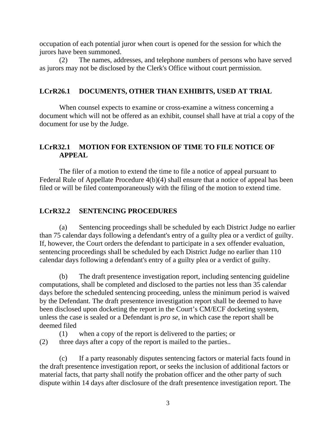occupation of each potential juror when court is opened for the session for which the jurors have been summoned.

(2) The names, addresses, and telephone numbers of persons who have served as jurors may not be disclosed by the Clerk's Office without court permission.

#### <span id="page-4-0"></span>**LCrR26.1 DOCUMENTS, OTHER THAN EXHIBITS, USED AT TRIAL**

When counsel expects to examine or cross-examine a witness concerning a document which will not be offered as an exhibit, counsel shall have at trial a copy of the document for use by the Judge.

# <span id="page-4-1"></span>**LCrR32.1 MOTION FOR EXTENSION OF TIME TO FILE NOTICE OF APPEAL**

The filer of a motion to extend the time to file a notice of appeal pursuant to Federal Rule of Appellate Procedure 4(b)(4) shall ensure that a notice of appeal has been filed or will be filed contemporaneously with the filing of the motion to extend time.

#### <span id="page-4-2"></span>**LCrR32.2 SENTENCING PROCEDURES**

(a) Sentencing proceedings shall be scheduled by each District Judge no earlier than 75 calendar days following a defendant's entry of a guilty plea or a verdict of guilty. If, however, the Court orders the defendant to participate in a sex offender evaluation, sentencing proceedings shall be scheduled by each District Judge no earlier than 110 calendar days following a defendant's entry of a guilty plea or a verdict of guilty.

(b) The draft presentence investigation report, including sentencing guideline computations, shall be completed and disclosed to the parties not less than 35 calendar days before the scheduled sentencing proceeding, unless the minimum period is waived by the Defendant. The draft presentence investigation report shall be deemed to have been disclosed upon docketing the report in the Court's CM/ECF docketing system, unless the case is sealed or a Defendant is *pro se*, in which case the report shall be deemed filed

(1) when a copy of the report is delivered to the parties; or (2) three days after a copy of the report is mailed to the parties..

(c) If a party reasonably disputes sentencing factors or material facts found in the draft presentence investigation report, or seeks the inclusion of additional factors or material facts, that party shall notify the probation officer and the other party of such dispute within 14 days after disclosure of the draft presentence investigation report. The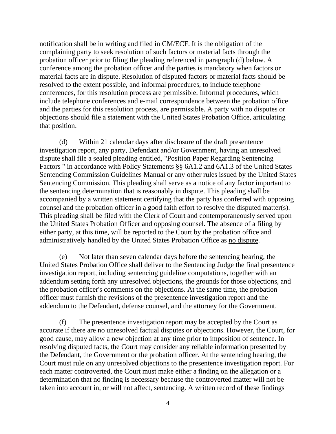notification shall be in writing and filed in CM/ECF. It is the obligation of the complaining party to seek resolution of such factors or material facts through the probation officer prior to filing the pleading referenced in paragraph (d) below. A conference among the probation officer and the parties is mandatory when factors or material facts are in dispute. Resolution of disputed factors or material facts should be resolved to the extent possible, and informal procedures, to include telephone conferences, for this resolution process are permissible. Informal procedures, which include telephone conferences and e-mail correspondence between the probation office and the parties for this resolution process, are permissible. A party with no disputes or objections should file a statement with the United States Probation Office, articulating that position.

(d) Within 21 calendar days after disclosure of the draft presentence investigation report, any party, Defendant and/or Government, having an unresolved dispute shall file a sealed pleading entitled, "Position Paper Regarding Sentencing Factors " in accordance with Policy Statements §§ 6A1.2 and 6A1.3 of the United States Sentencing Commission Guidelines Manual or any other rules issued by the United States Sentencing Commission. This pleading shall serve as a notice of any factor important to the sentencing determination that is reasonably in dispute. This pleading shall be accompanied by a written statement certifying that the party has conferred with opposing counsel and the probation officer in a good faith effort to resolve the disputed matter(s). This pleading shall be filed with the Clerk of Court and contemporaneously served upon the United States Probation Officer and opposing counsel. The absence of a filing by either party, at this time, will be reported to the Court by the probation office and administratively handled by the United States Probation Office as no dispute.

(e) Not later than seven calendar days before the sentencing hearing, the United States Probation Office shall deliver to the Sentencing Judge the final presentence investigation report, including sentencing guideline computations, together with an addendum setting forth any unresolved objections, the grounds for those objections, and the probation officer's comments on the objections. At the same time, the probation officer must furnish the revisions of the presentence investigation report and the addendum to the Defendant, defense counsel, and the attorney for the Government.

(f) The presentence investigation report may be accepted by the Court as accurate if there are no unresolved factual disputes or objections. However, the Court, for good cause, may allow a new objection at any time prior to imposition of sentence. In resolving disputed facts, the Court may consider any reliable information presented by the Defendant, the Government or the probation officer. At the sentencing hearing, the Court must rule on any unresolved objections to the presentence investigation report. For each matter controverted, the Court must make either a finding on the allegation or a determination that no finding is necessary because the controverted matter will not be taken into account in, or will not affect, sentencing. A written record of these findings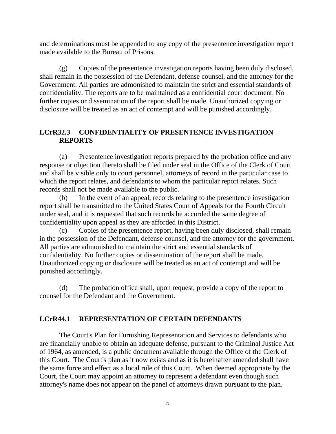and determinations must be appended to any copy of the presentence investigation report made available to the Bureau of Prisons.

(g) Copies of the presentence investigation reports having been duly disclosed, shall remain in the possession of the Defendant, defense counsel, and the attorney for the Government. All parties are admonished to maintain the strict and essential standards of confidentiality. The reports are to be maintained as a confidential court document. No further copies or dissemination of the report shall be made. Unauthorized copying or disclosure will be treated as an act of contempt and will be punished accordingly.

# <span id="page-6-0"></span>**LCrR32.3 CONFIDENTIALITY OF PRESENTENCE INVESTIGATION REPORTS**

(a) Presentence investigation reports prepared by the probation office and any response or objection thereto shall be filed under seal in the Office of the Clerk of Court and shall be visible only to court personnel, attorneys of record in the particular case to which the report relates, and defendants to whom the particular report relates. Such records shall not be made available to the public.

(b) In the event of an appeal, records relating to the presentence investigation report shall be transmitted to the United States Court of Appeals for the Fourth Circuit under seal, and it is requested that such records be accorded the same degree of confidentiality upon appeal as they are afforded in this District.

(c) Copies of the presentence report, having been duly disclosed, shall remain in the possession of the Defendant, defense counsel, and the attorney for the government. All parties are admonished to maintain the strict and essential standards of confidentiality. No further copies or dissemination of the report shall be made. Unauthorized copying or disclosure will be treated as an act of contempt and will be punished accordingly.

(d) The probation office shall, upon request, provide a copy of the report to counsel for the Defendant and the Government.

# <span id="page-6-1"></span>**LCrR44.1 REPRESENTATION OF CERTAIN DEFENDANTS**

The Court's Plan for Furnishing Representation and Services to defendants who are financially unable to obtain an adequate defense, pursuant to the Criminal Justice Act of 1964, as amended, is a public document available through the Office of the Clerk of this Court. The Court's plan as it now exists and as it is hereinafter amended shall have the same force and effect as a local rule of this Court. When deemed appropriate by the Court, the Court may appoint an attorney to represent a defendant even though such attorney's name does not appear on the panel of attorneys drawn pursuant to the plan.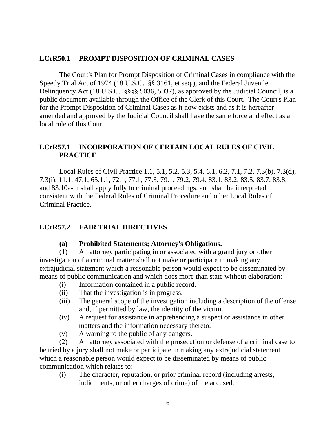#### <span id="page-7-0"></span>**LCrR50.1 PROMPT DISPOSITION OF CRIMINAL CASES**

The Court's Plan for Prompt Disposition of Criminal Cases in compliance with the Speedy Trial Act of 1974 (18 U.S.C. §§ 3161, et seq.), and the Federal Juvenile Delinquency Act (18 U.S.C. §§§§ 5036, 5037), as approved by the Judicial Council, is a public document available through the Office of the Clerk of this Court. The Court's Plan for the Prompt Disposition of Criminal Cases as it now exists and as it is hereafter amended and approved by the Judicial Council shall have the same force and effect as a local rule of this Court.

#### <span id="page-7-1"></span>**LCrR57.1 INCORPORATION OF CERTAIN LOCAL RULES OF CIVIL PRACTICE**

Local Rules of Civil Practice 1.1, 5.1, 5.2, 5.3, 5.4, 6.1, 6.2, 7.1, 7.2, 7.3(b), 7.3(d), 7.3(i), 11.1, 47.1, 65.1.1, 72.1, 77.1, 77.3, 79.1, 79.2, 79.4, 83.1, 83.2, 83.5, 83.7, 83.8, and 83.10a-m shall apply fully to criminal proceedings, and shall be interpreted consistent with the Federal Rules of Criminal Procedure and other Local Rules of Criminal Practice.

#### <span id="page-7-2"></span>**LCrR57.2 FAIR TRIAL DIRECTIVES**

#### **(a) Prohibited Statements; Attorney's Obligations.**

<span id="page-7-3"></span>(1) An attorney participating in or associated with a grand jury or other investigation of a criminal matter shall not make or participate in making any extrajudicial statement which a reasonable person would expect to be disseminated by means of public communication and which does more than state without elaboration:

- (i) Information contained in a public record.
- (ii) That the investigation is in progress.
- (iii) The general scope of the investigation including a description of the offense and, if permitted by law, the identity of the victim.
- (iv) A request for assistance in apprehending a suspect or assistance in other matters and the information necessary thereto.
- (v) A warning to the public of any dangers.

(2) An attorney associated with the prosecution or defense of a criminal case to be tried by a jury shall not make or participate in making any extrajudicial statement which a reasonable person would expect to be disseminated by means of public communication which relates to:

(i) The character, reputation, or prior criminal record (including arrests, indictments, or other charges of crime) of the accused.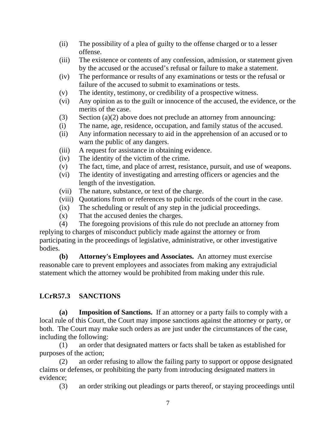- (ii) The possibility of a plea of guilty to the offense charged or to a lesser offense.
- (iii) The existence or contents of any confession, admission, or statement given by the accused or the accused's refusal or failure to make a statement.
- (iv) The performance or results of any examinations or tests or the refusal or failure of the accused to submit to examinations or tests.
- (v) The identity, testimony, or credibility of a prospective witness.
- (vi) Any opinion as to the guilt or innocence of the accused, the evidence, or the merits of the case.
- (3) Section (a)(2) above does not preclude an attorney from announcing:
- (i) The name, age, residence, occupation, and family status of the accused.
- (ii) Any information necessary to aid in the apprehension of an accused or to warn the public of any dangers.
- (iii) A request for assistance in obtaining evidence.
- (iv) The identity of the victim of the crime.
- (v) The fact, time, and place of arrest, resistance, pursuit, and use of weapons.
- (vi) The identity of investigating and arresting officers or agencies and the length of the investigation.
- (vii) The nature, substance, or text of the charge.
- (viii) Quotations from or references to public records of the court in the case.
- (ix) The scheduling or result of any step in the judicial proceedings.
- (x) That the accused denies the charges.
- (4) The foregoing provisions of this rule do not preclude an attorney from replying to charges of misconduct publicly made against the attorney or from participating in the proceedings of legislative, administrative, or other investigative bodies.

<span id="page-8-0"></span>**(b) Attorney's Employees and Associates.** An attorney must exercise reasonable care to prevent employees and associates from making any extrajudicial statement which the attorney would be prohibited from making under this rule.

# <span id="page-8-1"></span>**LCrR57.3 SANCTIONS**

<span id="page-8-2"></span>**(a) Imposition of Sanctions.** If an attorney or a party fails to comply with a local rule of this Court, the Court may impose sanctions against the attorney or party, or both. The Court may make such orders as are just under the circumstances of the case, including the following:

(1) an order that designated matters or facts shall be taken as established for purposes of the action;

(2) an order refusing to allow the failing party to support or oppose designated claims or defenses, or prohibiting the party from introducing designated matters in evidence;

(3) an order striking out pleadings or parts thereof, or staying proceedings until